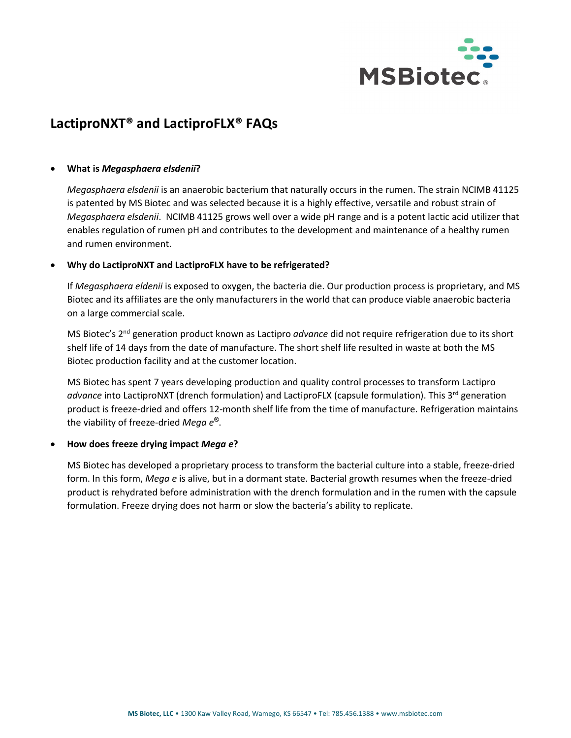

# **LactiproNXT® and LactiproFLX® FAQs**

### • **What is** *Megasphaera elsdenii***?**

*Megasphaera elsdenii* is an anaerobic bacterium that naturally occurs in the rumen. The strain NCIMB 41125 is patented by MS Biotec and was selected because it is a highly effective, versatile and robust strain of *Megasphaera elsdenii*. NCIMB 41125 grows well over a wide pH range and is a potent lactic acid utilizer that enables regulation of rumen pH and contributes to the development and maintenance of a healthy rumen and rumen environment.

### • **Why do LactiproNXT and LactiproFLX have to be refrigerated?**

If *Megasphaera eldenii* is exposed to oxygen, the bacteria die. Our production process is proprietary, and MS Biotec and its affiliates are the only manufacturers in the world that can produce viable anaerobic bacteria on a large commercial scale.

MS Biotec's 2nd generation product known as Lactipro *advance* did not require refrigeration due to its short shelf life of 14 days from the date of manufacture. The short shelf life resulted in waste at both the MS Biotec production facility and at the customer location.

MS Biotec has spent 7 years developing production and quality control processes to transform Lactipro *advance* into LactiproNXT (drench formulation) and LactiproFLX (capsule formulation). This 3rd generation product is freeze-dried and offers 12-month shelf life from the time of manufacture. Refrigeration maintains the viability of freeze-dried *Mega e®*.

## • **How does freeze drying impact** *Mega e***?**

MS Biotec has developed a proprietary process to transform the bacterial culture into a stable, freeze-dried form. In this form, *Mega e* is alive, but in a dormant state. Bacterial growth resumes when the freeze-dried product is rehydrated before administration with the drench formulation and in the rumen with the capsule formulation. Freeze drying does not harm or slow the bacteria's ability to replicate.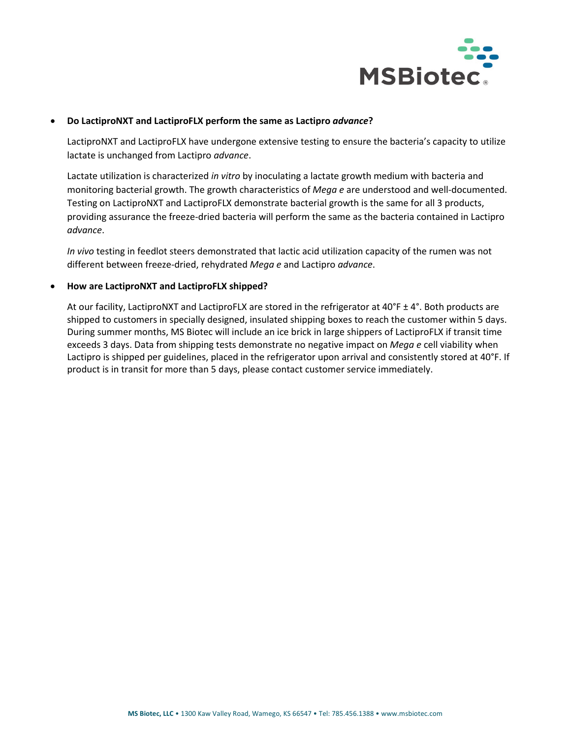

## • **Do LactiproNXT and LactiproFLX perform the same as Lactipro** *advance***?**

LactiproNXT and LactiproFLX have undergone extensive testing to ensure the bacteria's capacity to utilize lactate is unchanged from Lactipro *advance*.

Lactate utilization is characterized *in vitro* by inoculating a lactate growth medium with bacteria and monitoring bacterial growth. The growth characteristics of *Mega e* are understood and well-documented. Testing on LactiproNXT and LactiproFLX demonstrate bacterial growth is the same for all 3 products, providing assurance the freeze-dried bacteria will perform the same as the bacteria contained in Lactipro *advance*.

*In vivo* testing in feedlot steers demonstrated that lactic acid utilization capacity of the rumen was not different between freeze-dried, rehydrated *Mega e* and Lactipro *advance*.

### • **How are LactiproNXT and LactiproFLX shipped?**

At our facility, LactiproNXT and LactiproFLX are stored in the refrigerator at 40°F ± 4°. Both products are shipped to customers in specially designed, insulated shipping boxes to reach the customer within 5 days. During summer months, MS Biotec will include an ice brick in large shippers of LactiproFLX if transit time exceeds 3 days. Data from shipping tests demonstrate no negative impact on *Mega e* cell viability when Lactipro is shipped per guidelines, placed in the refrigerator upon arrival and consistently stored at 40°F. If product is in transit for more than 5 days, please contact customer service immediately.